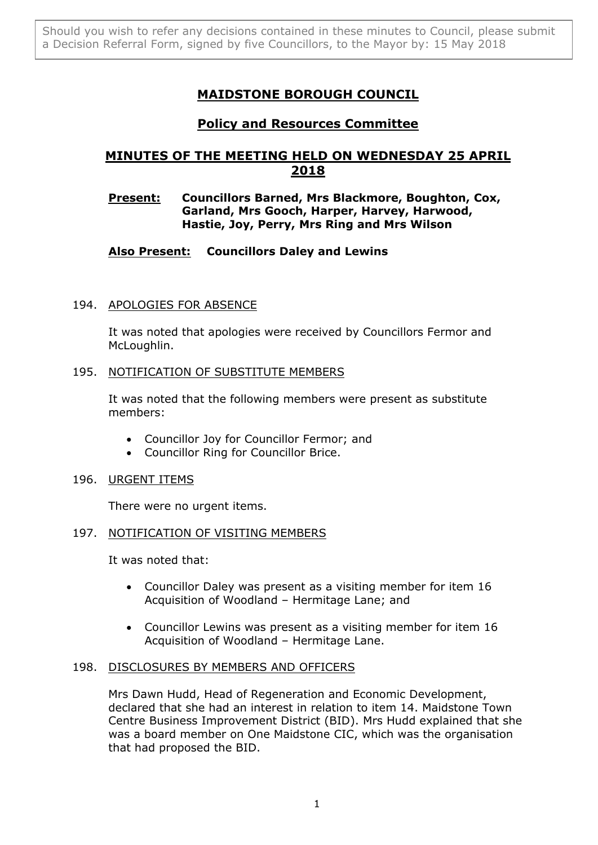# **MAIDSTONE BOROUGH COUNCIL**

## **Policy and Resources Committee**

# **MINUTES OF THE MEETING HELD ON WEDNESDAY 25 APRIL 2018**

### **Present: Councillors Barned, Mrs Blackmore, Boughton, Cox, Garland, Mrs Gooch, Harper, Harvey, Harwood, Hastie, Joy, Perry, Mrs Ring and Mrs Wilson**

## **Also Present: Councillors Daley and Lewins**

### 194. APOLOGIES FOR ABSENCE

It was noted that apologies were received by Councillors Fermor and McLoughlin.

### 195. NOTIFICATION OF SUBSTITUTE MEMBERS

It was noted that the following members were present as substitute members:

- Councillor Joy for Councillor Fermor; and
- Councillor Ring for Councillor Brice.

### 196. URGENT ITEMS

There were no urgent items.

### 197. NOTIFICATION OF VISITING MEMBERS

It was noted that:

- Councillor Daley was present as a visiting member for item 16 Acquisition of Woodland – Hermitage Lane; and
- Councillor Lewins was present as a visiting member for item 16 Acquisition of Woodland – Hermitage Lane.

### 198. DISCLOSURES BY MEMBERS AND OFFICERS

Mrs Dawn Hudd, Head of Regeneration and Economic Development, declared that she had an interest in relation to item 14. Maidstone Town Centre Business Improvement District (BID). Mrs Hudd explained that she was a board member on One Maidstone CIC, which was the organisation that had proposed the BID.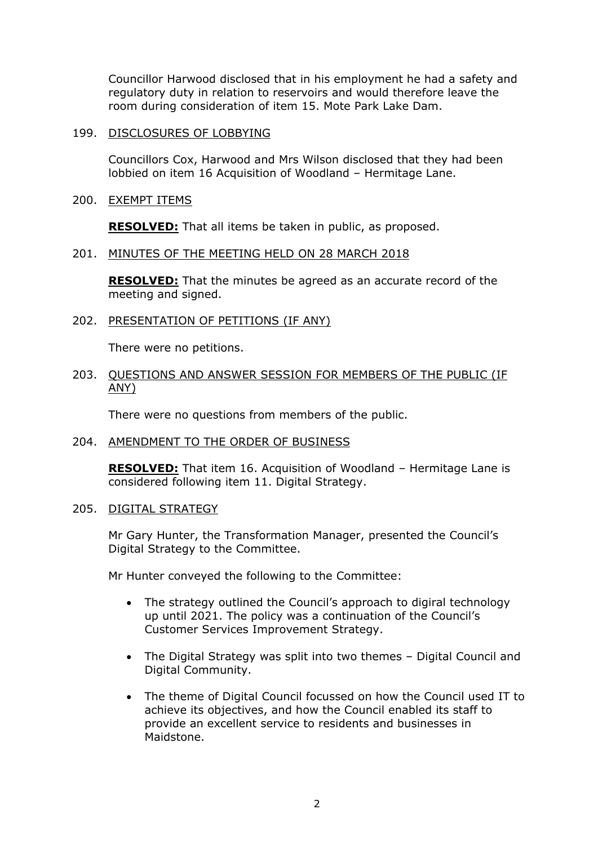Councillor Harwood disclosed that in his employment he had a safety and regulatory duty in relation to reservoirs and would therefore leave the room during consideration of item 15. Mote Park Lake Dam.

#### 199. DISCLOSURES OF LOBBYING

Councillors Cox, Harwood and Mrs Wilson disclosed that they had been lobbied on item 16 Acquisition of Woodland – Hermitage Lane.

200. EXEMPT ITEMS

**RESOLVED:** That all items be taken in public, as proposed.

#### 201. MINUTES OF THE MEETING HELD ON 28 MARCH 2018

**RESOLVED:** That the minutes be agreed as an accurate record of the meeting and signed.

202. PRESENTATION OF PETITIONS (IF ANY)

There were no petitions.

#### 203. QUESTIONS AND ANSWER SESSION FOR MEMBERS OF THE PUBLIC (IF ANY)

There were no questions from members of the public.

204. AMENDMENT TO THE ORDER OF BUSINESS

**RESOLVED:** That item 16. Acquisition of Woodland – Hermitage Lane is considered following item 11. Digital Strategy.

#### 205. DIGITAL STRATEGY

Mr Gary Hunter, the Transformation Manager, presented the Council's Digital Strategy to the Committee.

Mr Hunter conveyed the following to the Committee:

- The strategy outlined the Council's approach to digiral technology up until 2021. The policy was a continuation of the Council's Customer Services Improvement Strategy.
- The Digital Strategy was split into two themes Digital Council and Digital Community.
- The theme of Digital Council focussed on how the Council used IT to achieve its objectives, and how the Council enabled its staff to provide an excellent service to residents and businesses in Maidstone.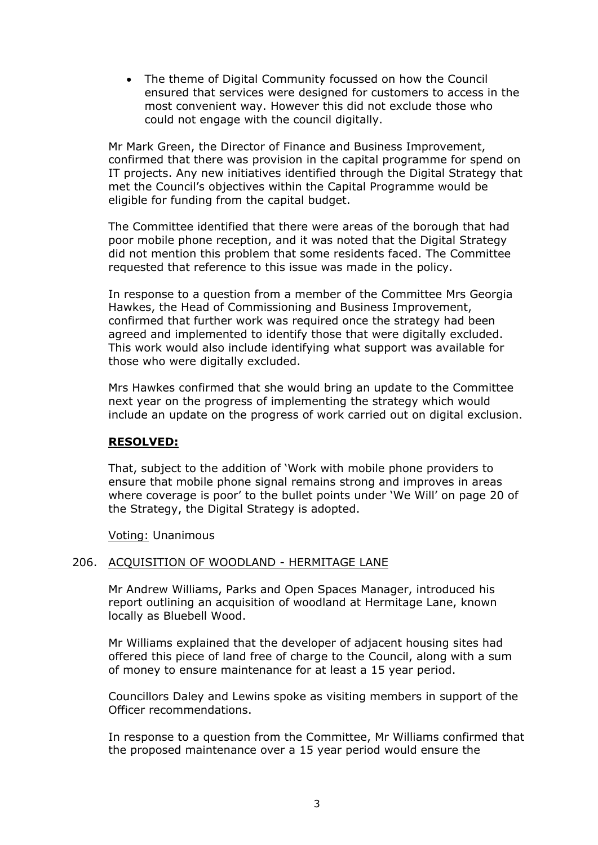The theme of Digital Community focussed on how the Council ensured that services were designed for customers to access in the most convenient way. However this did not exclude those who could not engage with the council digitally.

Mr Mark Green, the Director of Finance and Business Improvement, confirmed that there was provision in the capital programme for spend on IT projects. Any new initiatives identified through the Digital Strategy that met the Council's objectives within the Capital Programme would be eligible for funding from the capital budget.

The Committee identified that there were areas of the borough that had poor mobile phone reception, and it was noted that the Digital Strategy did not mention this problem that some residents faced. The Committee requested that reference to this issue was made in the policy.

In response to a question from a member of the Committee Mrs Georgia Hawkes, the Head of Commissioning and Business Improvement, confirmed that further work was required once the strategy had been agreed and implemented to identify those that were digitally excluded. This work would also include identifying what support was available for those who were digitally excluded.

Mrs Hawkes confirmed that she would bring an update to the Committee next year on the progress of implementing the strategy which would include an update on the progress of work carried out on digital exclusion.

#### **RESOLVED:**

That, subject to the addition of 'Work with mobile phone providers to ensure that mobile phone signal remains strong and improves in areas where coverage is poor' to the bullet points under 'We Will' on page 20 of the Strategy, the Digital Strategy is adopted.

Voting: Unanimous

#### 206. ACQUISITION OF WOODLAND - HERMITAGE LANE

Mr Andrew Williams, Parks and Open Spaces Manager, introduced his report outlining an acquisition of woodland at Hermitage Lane, known locally as Bluebell Wood.

Mr Williams explained that the developer of adjacent housing sites had offered this piece of land free of charge to the Council, along with a sum of money to ensure maintenance for at least a 15 year period.

Councillors Daley and Lewins spoke as visiting members in support of the Officer recommendations.

In response to a question from the Committee, Mr Williams confirmed that the proposed maintenance over a 15 year period would ensure the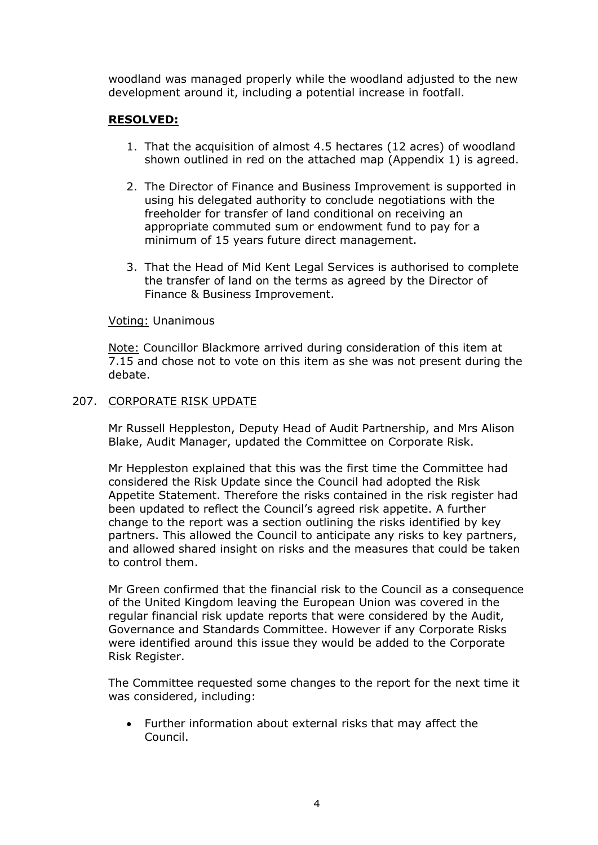woodland was managed properly while the woodland adjusted to the new development around it, including a potential increase in footfall.

### **RESOLVED:**

- 1. That the acquisition of almost 4.5 hectares (12 acres) of woodland shown outlined in red on the attached map (Appendix 1) is agreed.
- 2. The Director of Finance and Business Improvement is supported in using his delegated authority to conclude negotiations with the freeholder for transfer of land conditional on receiving an appropriate commuted sum or endowment fund to pay for a minimum of 15 years future direct management.
- 3. That the Head of Mid Kent Legal Services is authorised to complete the transfer of land on the terms as agreed by the Director of Finance & Business Improvement.

### Voting: Unanimous

Note: Councillor Blackmore arrived during consideration of this item at 7.15 and chose not to vote on this item as she was not present during the debate.

### 207. CORPORATE RISK UPDATE

Mr Russell Heppleston, Deputy Head of Audit Partnership, and Mrs Alison Blake, Audit Manager, updated the Committee on Corporate Risk.

Mr Heppleston explained that this was the first time the Committee had considered the Risk Update since the Council had adopted the Risk Appetite Statement. Therefore the risks contained in the risk register had been updated to reflect the Council's agreed risk appetite. A further change to the report was a section outlining the risks identified by key partners. This allowed the Council to anticipate any risks to key partners, and allowed shared insight on risks and the measures that could be taken to control them.

Mr Green confirmed that the financial risk to the Council as a consequence of the United Kingdom leaving the European Union was covered in the regular financial risk update reports that were considered by the Audit, Governance and Standards Committee. However if any Corporate Risks were identified around this issue they would be added to the Corporate Risk Register.

The Committee requested some changes to the report for the next time it was considered, including:

 Further information about external risks that may affect the Council.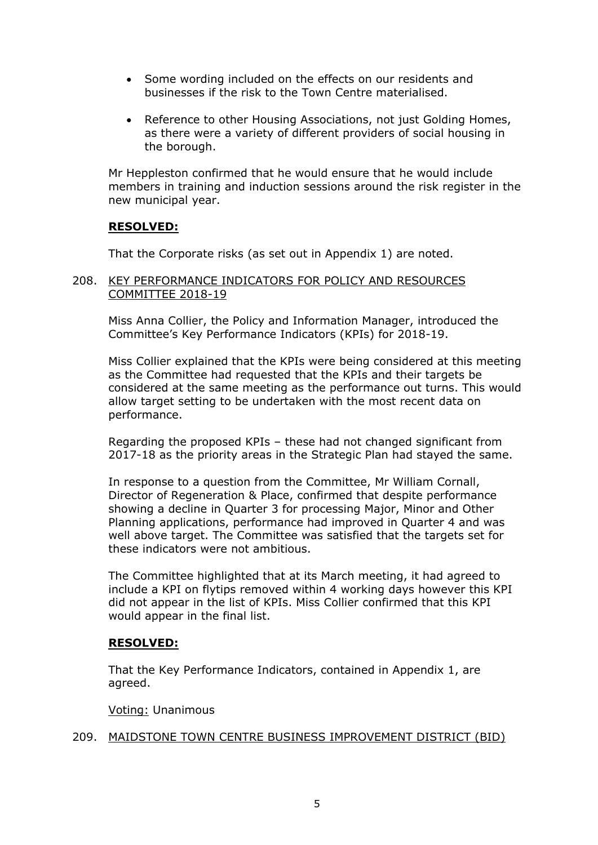- Some wording included on the effects on our residents and businesses if the risk to the Town Centre materialised.
- Reference to other Housing Associations, not just Golding Homes, as there were a variety of different providers of social housing in the borough.

Mr Heppleston confirmed that he would ensure that he would include members in training and induction sessions around the risk register in the new municipal year.

### **RESOLVED:**

That the Corporate risks (as set out in Appendix 1) are noted.

### 208. KEY PERFORMANCE INDICATORS FOR POLICY AND RESOURCES COMMITTEE 2018-19

Miss Anna Collier, the Policy and Information Manager, introduced the Committee's Key Performance Indicators (KPIs) for 2018-19.

Miss Collier explained that the KPIs were being considered at this meeting as the Committee had requested that the KPIs and their targets be considered at the same meeting as the performance out turns. This would allow target setting to be undertaken with the most recent data on performance.

Regarding the proposed KPIs – these had not changed significant from 2017-18 as the priority areas in the Strategic Plan had stayed the same.

In response to a question from the Committee, Mr William Cornall, Director of Regeneration & Place, confirmed that despite performance showing a decline in Quarter 3 for processing Major, Minor and Other Planning applications, performance had improved in Quarter 4 and was well above target. The Committee was satisfied that the targets set for these indicators were not ambitious.

The Committee highlighted that at its March meeting, it had agreed to include a KPI on flytips removed within 4 working days however this KPI did not appear in the list of KPIs. Miss Collier confirmed that this KPI would appear in the final list.

### **RESOLVED:**

That the Key Performance Indicators, contained in Appendix 1, are agreed.

Voting: Unanimous

#### 209. MAIDSTONE TOWN CENTRE BUSINESS IMPROVEMENT DISTRICT (BID)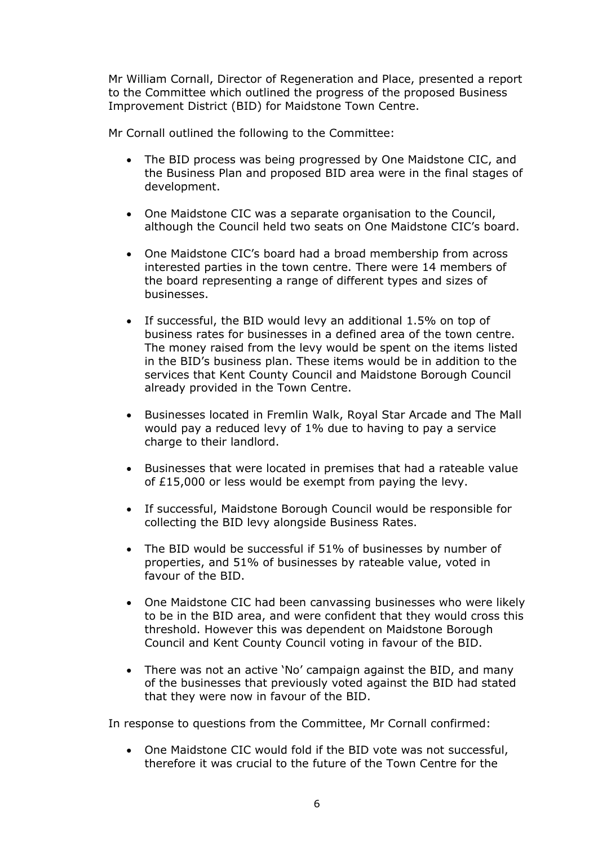Mr William Cornall, Director of Regeneration and Place, presented a report to the Committee which outlined the progress of the proposed Business Improvement District (BID) for Maidstone Town Centre.

Mr Cornall outlined the following to the Committee:

- The BID process was being progressed by One Maidstone CIC, and the Business Plan and proposed BID area were in the final stages of development.
- One Maidstone CIC was a separate organisation to the Council, although the Council held two seats on One Maidstone CIC's board.
- One Maidstone CIC's board had a broad membership from across interested parties in the town centre. There were 14 members of the board representing a range of different types and sizes of businesses.
- If successful, the BID would levy an additional 1.5% on top of business rates for businesses in a defined area of the town centre. The money raised from the levy would be spent on the items listed in the BID's business plan. These items would be in addition to the services that Kent County Council and Maidstone Borough Council already provided in the Town Centre.
- Businesses located in Fremlin Walk, Royal Star Arcade and The Mall would pay a reduced levy of 1% due to having to pay a service charge to their landlord.
- Businesses that were located in premises that had a rateable value of £15,000 or less would be exempt from paying the levy.
- If successful, Maidstone Borough Council would be responsible for collecting the BID levy alongside Business Rates.
- The BID would be successful if 51% of businesses by number of properties, and 51% of businesses by rateable value, voted in favour of the BID.
- One Maidstone CIC had been canvassing businesses who were likely to be in the BID area, and were confident that they would cross this threshold. However this was dependent on Maidstone Borough Council and Kent County Council voting in favour of the BID.
- There was not an active 'No' campaign against the BID, and many of the businesses that previously voted against the BID had stated that they were now in favour of the BID.

In response to questions from the Committee, Mr Cornall confirmed:

 One Maidstone CIC would fold if the BID vote was not successful, therefore it was crucial to the future of the Town Centre for the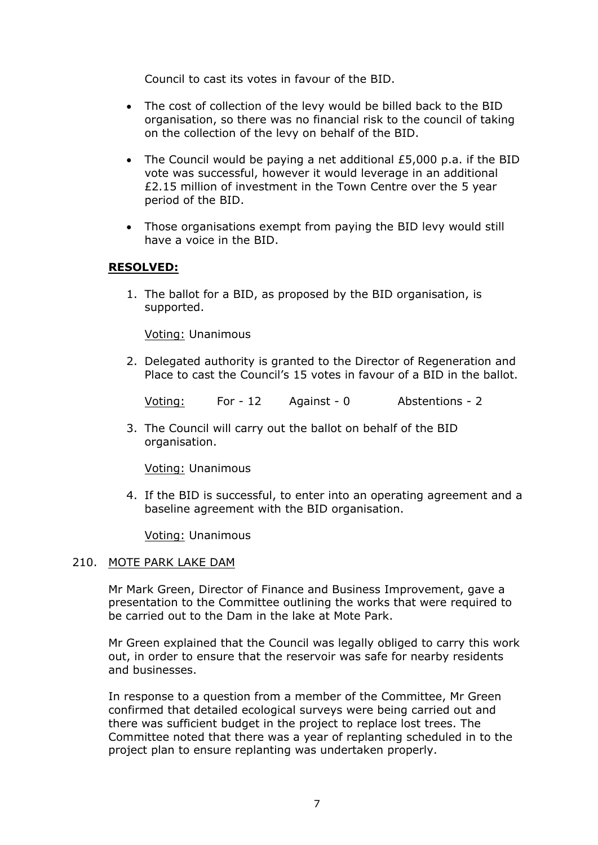Council to cast its votes in favour of the BID.

- The cost of collection of the levy would be billed back to the BID organisation, so there was no financial risk to the council of taking on the collection of the levy on behalf of the BID.
- The Council would be paying a net additional £5,000 p.a. if the BID vote was successful, however it would leverage in an additional £2.15 million of investment in the Town Centre over the 5 year period of the BID.
- Those organisations exempt from paying the BID levy would still have a voice in the BID.

### **RESOLVED:**

1. The ballot for a BID, as proposed by the BID organisation, is supported.

Voting: Unanimous

2. Delegated authority is granted to the Director of Regeneration and Place to cast the Council's 15 votes in favour of a BID in the ballot.

Voting: For - 12 Against - 0 Abstentions - 2

3. The Council will carry out the ballot on behalf of the BID organisation.

Voting: Unanimous

4. If the BID is successful, to enter into an operating agreement and a baseline agreement with the BID organisation.

Voting: Unanimous

#### 210. MOTE PARK LAKE DAM

Mr Mark Green, Director of Finance and Business Improvement, gave a presentation to the Committee outlining the works that were required to be carried out to the Dam in the lake at Mote Park.

Mr Green explained that the Council was legally obliged to carry this work out, in order to ensure that the reservoir was safe for nearby residents and businesses.

In response to a question from a member of the Committee, Mr Green confirmed that detailed ecological surveys were being carried out and there was sufficient budget in the project to replace lost trees. The Committee noted that there was a year of replanting scheduled in to the project plan to ensure replanting was undertaken properly.